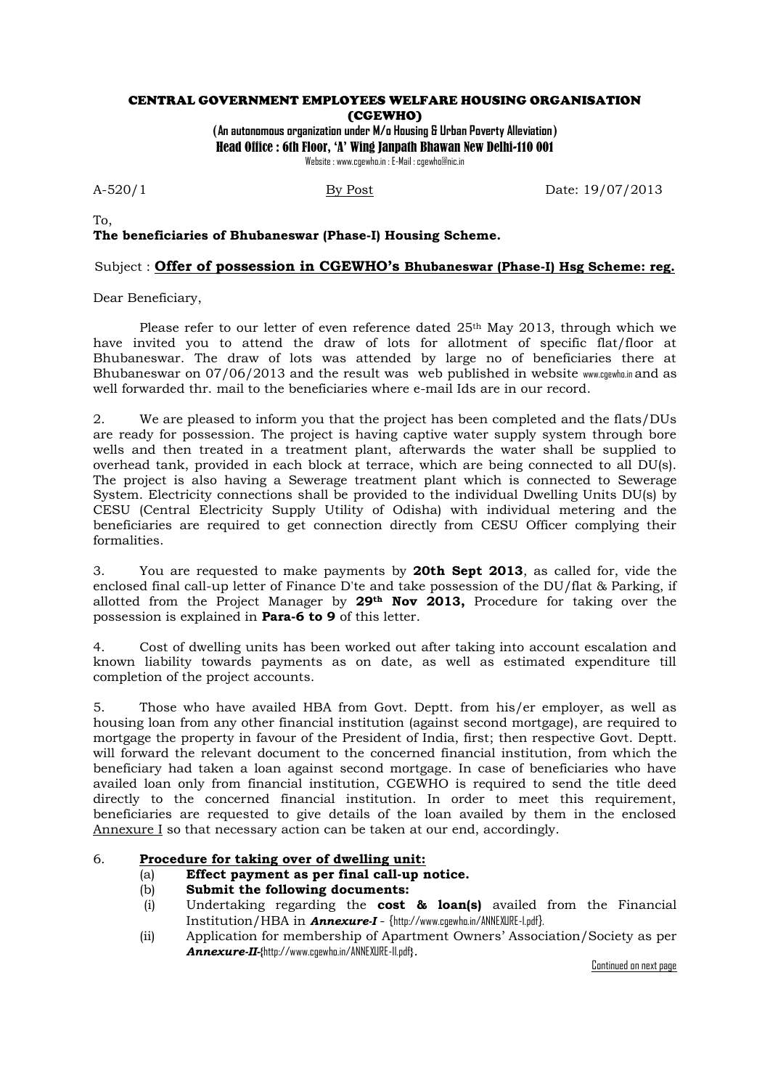### CENTRAL GOVERNMENT EMPLOYEES WELFARE HOUSING ORGANISATION (CGEWHO)

(**An autonomous organization under M/o Housing & Urban Poverty Alleviation**) Head Office : 6th Floor, 'A' Wing Janpath Bhawan New Delhi-110 001 Website : www.cgewho.in : E-Mail : cgewho@nic.in

A-520/1 By Post Date: 19/07/2013

### To, **The beneficiaries of Bhubaneswar (Phase-I) Housing Scheme.**

# Subject : **Offer of possession in CGEWHO's Bhubaneswar (Phase-I) Hsg Scheme: reg.**

Dear Beneficiary,

Please refer to our letter of even reference dated 25<sup>th</sup> May 2013, through which we have invited you to attend the draw of lots for allotment of specific flat/floor at Bhubaneswar. The draw of lots was attended by large no of beneficiaries there at Bhubaneswar on 07/06/2013 and the result was web published in website www.cgewho.in and as well forwarded thr. mail to the beneficiaries where e-mail Ids are in our record.

2. We are pleased to inform you that the project has been completed and the flats/DUs are ready for possession. The project is having captive water supply system through bore wells and then treated in a treatment plant, afterwards the water shall be supplied to overhead tank, provided in each block at terrace, which are being connected to all DU(s). The project is also having a Sewerage treatment plant which is connected to Sewerage System. Electricity connections shall be provided to the individual Dwelling Units DU(s) by CESU (Central Electricity Supply Utility of Odisha) with individual metering and the beneficiaries are required to get connection directly from CESU Officer complying their formalities.

3. You are requested to make payments by **20th Sept 2013**, as called for, vide the enclosed final call-up letter of Finance D'te and take possession of the DU/flat & Parking, if allotted from the Project Manager by **29th Nov 2013,** Procedure for taking over the possession is explained in **Para-6 to 9** of this letter.

4. Cost of dwelling units has been worked out after taking into account escalation and known liability towards payments as on date, as well as estimated expenditure till completion of the project accounts.

5. Those who have availed HBA from Govt. Deptt. from his/er employer, as well as housing loan from any other financial institution (against second mortgage), are required to mortgage the property in favour of the President of India, first; then respective Govt. Deptt. will forward the relevant document to the concerned financial institution, from which the beneficiary had taken a loan against second mortgage. In case of beneficiaries who have availed loan only from financial institution, CGEWHO is required to send the title deed directly to the concerned financial institution. In order to meet this requirement, beneficiaries are requested to give details of the loan availed by them in the enclosed Annexure I so that necessary action can be taken at our end, accordingly.

## 6. **Procedure for taking over of dwelling unit:**

- (a) **Effect payment as per final call-up notice.**
- (b) **Submit the following documents:**
- (i) Undertaking regarding the **cost & loan(s)** availed from the Financial Institution/HBA in *Annexure-I* - {http://www.cgewho.in/ANNEXURE-I.pdf}.
- (ii) Application for membership of Apartment Owners' Association/Society as per *Annexure-II-***{**http://www.cgewho.in/ANNEXURE-II.pdf**}**.

Continued on next page